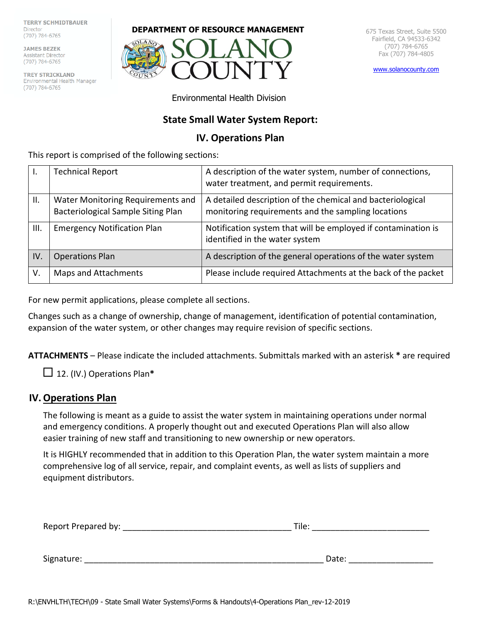**TERRY SCHMIDTBAUER Director** (707) 784-6765

JAMES BEZEK Assistant Director<br>(707) 784-6765

**TREY STRICKLAND**<br>Environmental Health M **TREY STRICKLAND** Environmental Health Manager<br>(707) 784-6765

#### **DEPARTMENT OF RESOURCE MANAGEMENT** 675 Texas Street, Suite 5500



Fairfield, CA 94533-6342 (707) 784-6765 Fax (707) 784-4805

[www.solanocounty.com](http://www.solanocounty.com/)

Environmental Health Division

# **State Small Water System Report:**

# **IV. Operations Plan**

This report is comprised of the following sections:

|     | <b>Technical Report</b>                                                 | A description of the water system, number of connections,<br>water treatment, and permit requirements.           |
|-----|-------------------------------------------------------------------------|------------------------------------------------------------------------------------------------------------------|
| Ш.  | Water Monitoring Requirements and<br>Bacteriological Sample Siting Plan | A detailed description of the chemical and bacteriological<br>monitoring requirements and the sampling locations |
| Ш.  | <b>Emergency Notification Plan</b>                                      | Notification system that will be employed if contamination is<br>identified in the water system                  |
| IV. | <b>Operations Plan</b>                                                  | A description of the general operations of the water system                                                      |
| V.  | Maps and Attachments                                                    | Please include required Attachments at the back of the packet                                                    |

For new permit applications, please complete all sections.

Changes such as a change of ownership, change of management, identification of potential contamination, expansion of the water system, or other changes may require revision of specific sections.

**ATTACHMENTS** – Please indicate the included attachments. Submittals marked with an asterisk **\*** are required

12. (IV.) Operations Plan**\***

# **IV.Operations Plan**

The following is meant as a guide to assist the water system in maintaining operations under normal and emergency conditions. A properly thought out and executed Operations Plan will also allow easier training of new staff and transitioning to new ownership or new operators.

It is HIGHLY recommended that in addition to this Operation Plan, the water system maintain a more comprehensive log of all service, repair, and complaint events, as well as lists of suppliers and equipment distributors.

| Report Prepared by: | Tile: |  |  |
|---------------------|-------|--|--|
|                     |       |  |  |
| Signature:          | Date: |  |  |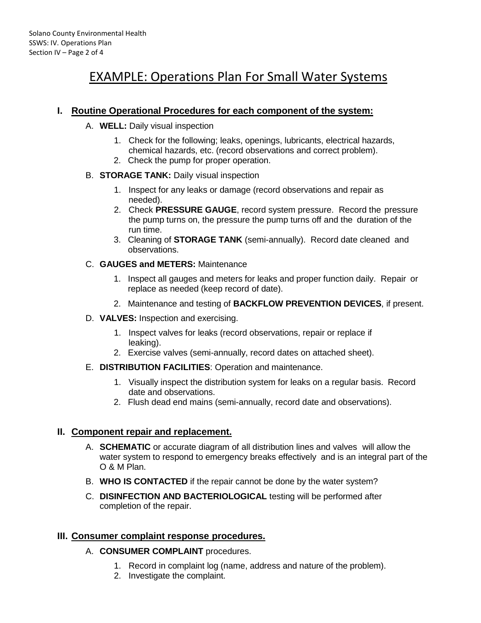# EXAMPLE: Operations Plan For Small Water Systems

# **I. Routine Operational Procedures for each component of the system:**

- A. **WELL:** Daily visual inspection
	- 1. Check for the following; leaks, openings, lubricants, electrical hazards, chemical hazards, etc. (record observations and correct problem).
	- 2. Check the pump for proper operation.

#### B. **STORAGE TANK:** Daily visual inspection

- 1. Inspect for any leaks or damage (record observations and repair as needed).
- 2. Check **PRESSURE GAUGE**, record system pressure. Record the pressure the pump turns on, the pressure the pump turns off and the duration of the run time.
- 3. Cleaning of **STORAGE TANK** (semi-annually). Record date cleaned and observations.
- C. **GAUGES and METERS:** Maintenance
	- 1. Inspect all gauges and meters for leaks and proper function daily. Repair or replace as needed (keep record of date).
	- 2. Maintenance and testing of **BACKFLOW PREVENTION DEVICES**, if present.
- D. **VALVES:** Inspection and exercising.
	- 1. Inspect valves for leaks (record observations, repair or replace if leaking).
	- 2. Exercise valves (semi-annually, record dates on attached sheet).
- E. **DISTRIBUTION FACILITIES**: Operation and maintenance.
	- 1. Visually inspect the distribution system for leaks on a regular basis. Record date and observations.
	- 2. Flush dead end mains (semi-annually, record date and observations).

# **II. Component repair and replacement.**

- A. **SCHEMATIC** or accurate diagram of all distribution lines and valves will allow the water system to respond to emergency breaks effectively and is an integral part of the O & M Plan.
- B. **WHO IS CONTACTED** if the repair cannot be done by the water system?
- C. **DISINFECTION AND BACTERIOLOGICAL** testing will be performed after completion of the repair.

# **III. Consumer complaint response procedures.**

- A. **CONSUMER COMPLAINT** procedures.
	- 1. Record in complaint log (name, address and nature of the problem).
	- 2. Investigate the complaint.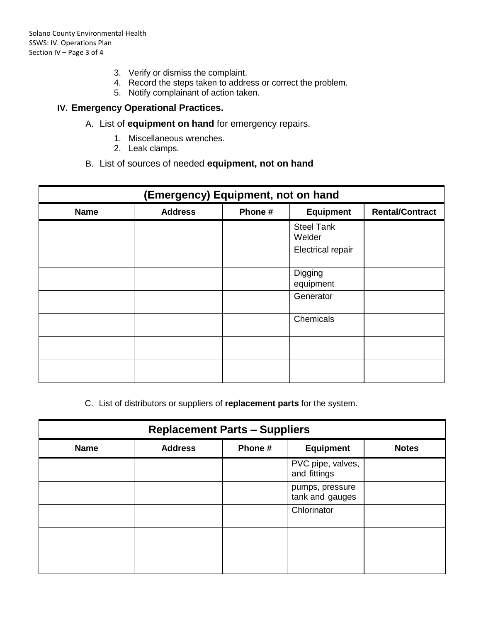- 3. Verify or dismiss the complaint.
- 4. Record the steps taken to address or correct the problem.
- 5. Notify complainant of action taken.

# **IV. Emergency Operational Practices.**

- A. List of **equipment on hand** for emergency repairs.
	- 1. Miscellaneous wrenches.
	- 2. Leak clamps.

### B. List of sources of needed **equipment, not on hand**

| (Emergency) Equipment, not on hand |                |         |                             |                        |
|------------------------------------|----------------|---------|-----------------------------|------------------------|
| <b>Name</b>                        | <b>Address</b> | Phone # | <b>Equipment</b>            | <b>Rental/Contract</b> |
|                                    |                |         | <b>Steel Tank</b><br>Welder |                        |
|                                    |                |         | <b>Electrical repair</b>    |                        |
|                                    |                |         | Digging<br>equipment        |                        |
|                                    |                |         | Generator                   |                        |
|                                    |                |         | Chemicals                   |                        |
|                                    |                |         |                             |                        |
|                                    |                |         |                             |                        |

C. List of distributors or suppliers of **replacement parts** for the system.

| <b>Replacement Parts - Suppliers</b> |                |         |                                    |              |
|--------------------------------------|----------------|---------|------------------------------------|--------------|
| <b>Name</b>                          | <b>Address</b> | Phone # | <b>Equipment</b>                   | <b>Notes</b> |
|                                      |                |         | PVC pipe, valves,<br>and fittings  |              |
|                                      |                |         | pumps, pressure<br>tank and gauges |              |
|                                      |                |         | Chlorinator                        |              |
|                                      |                |         |                                    |              |
|                                      |                |         |                                    |              |